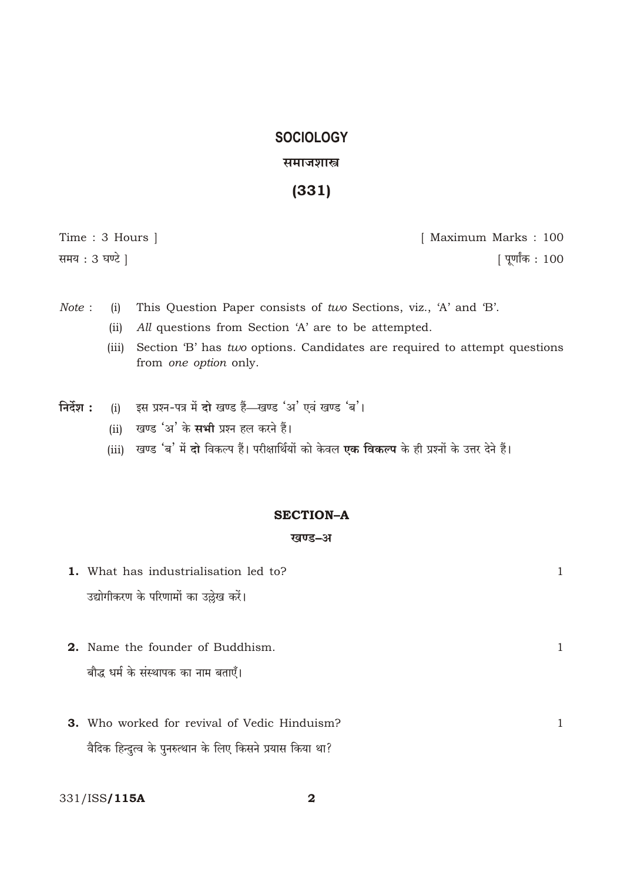# **SOCIOLOGY** समाजशास्त्र

 $(331)$ 

Time: 3 Hours ] समय: 3 घण्टे |

[ Maximum Marks: 100 | पूर्णांक : 100

- Note: This Question Paper consists of two Sections, viz., 'A' and 'B'.  $(i)$ 
	- All questions from Section 'A' are to be attempted.  $(ii)$
	- Section 'B' has two options. Candidates are required to attempt questions  $(iii)$ from one option only.
- इस प्रश्न-पत्र में दो खण्ड हैं—खण्ड 'अ' एवं खण्ड 'ब'। निर्देश :  $(i)$ 
	- खण्ड 'अ' के **सभी** प्रश्न हल करने हैं।  $(ii)$
	- (iii) खण्ड 'ब' में दो विकल्प हैं। परीक्षार्थियों को केवल **एक विकल्प** के ही प्रश्नों के उत्तर देने हैं।

### **SECTION-A**

### खण्ड-अ

| 1. What has industrialisation led to?               |  |
|-----------------------------------------------------|--|
| उद्योगीकरण के परिणामों का उल्लेख करें।              |  |
|                                                     |  |
| <b>2.</b> Name the founder of Buddhism.             |  |
| बौद्ध धर्म के संस्थापक का नाम बताएँ।                |  |
|                                                     |  |
| <b>3.</b> Who worked for revival of Vedic Hinduism? |  |

वैदिक हिन्दुत्व के पुनरुत्थान के लिए किसने प्रयास किया था?

331/ISS/115A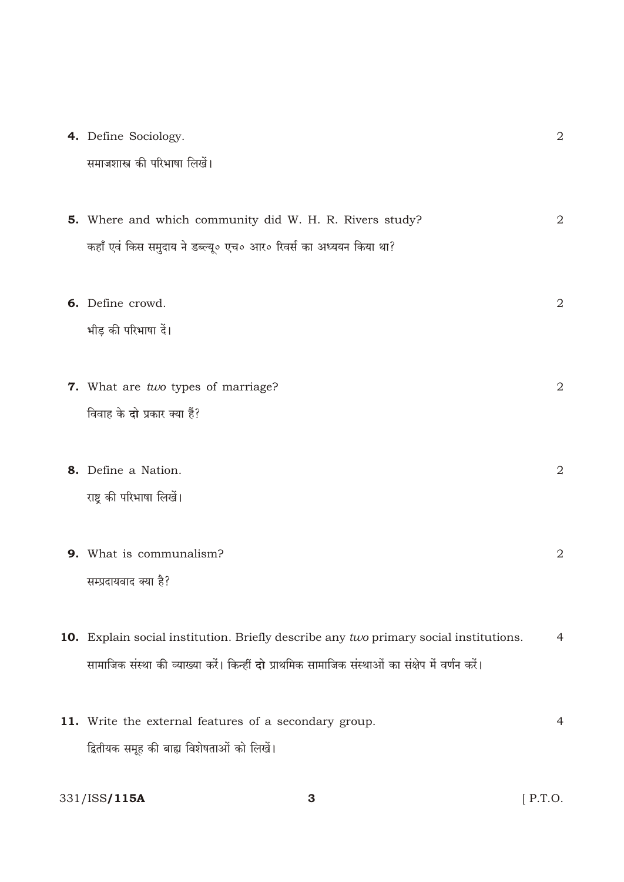4. Define Sociology.

| समाजशास्त्र की परिभाषा लिखें। |  |  |
|-------------------------------|--|--|
|                               |  |  |

| 5. Where and which community did W. H. R. Rivers study?           |  |
|-------------------------------------------------------------------|--|
| कहाँ एवं किस समुदाय ने डब्ल्यू० एच० आर० रिवर्स का अध्ययन किया था? |  |

- 6. Define crowd.  $\overline{2}$ भीड़ की परिभाषा दें।
- 7. What are two types of marriage?  $\overline{2}$ विवाह के दो प्रकार क्या हैं?
- 8. Define a Nation. 2 राष्ट्र की परिभाषा लिखें।
- 9. What is communalism? 2 सम्प्रदायवाद क्या है?
- 10. Explain social institution. Briefly describe any two primary social institutions.  $\overline{4}$ सामाजिक संस्था की व्याख्या करें। किन्हीं **दो** प्राथमिक सामाजिक संस्थाओं का संक्षेप में वर्णन करें।
- 11. Write the external features of a secondary group.  $\overline{4}$ द्वितीयक समूह की बाह्य विशेषताओं को लिखें।

 $\overline{3}$ 

331/ISS/115A

 $[$  P.T.O.

2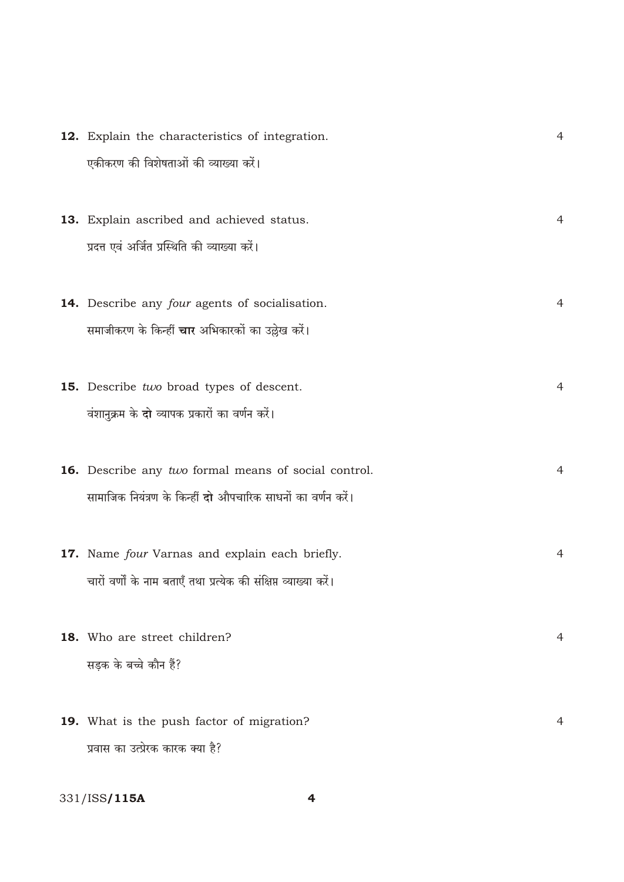| 12. Explain the characteristics of integration. | $\overline{4}$                                                                                                                                                                                                                                                                                                                                                                                                                                                                                               |
|-------------------------------------------------|--------------------------------------------------------------------------------------------------------------------------------------------------------------------------------------------------------------------------------------------------------------------------------------------------------------------------------------------------------------------------------------------------------------------------------------------------------------------------------------------------------------|
| एकीकरण की विशेषताओं की व्याख्या करें।           |                                                                                                                                                                                                                                                                                                                                                                                                                                                                                                              |
|                                                 |                                                                                                                                                                                                                                                                                                                                                                                                                                                                                                              |
|                                                 | $\overline{4}$                                                                                                                                                                                                                                                                                                                                                                                                                                                                                               |
|                                                 |                                                                                                                                                                                                                                                                                                                                                                                                                                                                                                              |
|                                                 |                                                                                                                                                                                                                                                                                                                                                                                                                                                                                                              |
|                                                 | 4                                                                                                                                                                                                                                                                                                                                                                                                                                                                                                            |
|                                                 |                                                                                                                                                                                                                                                                                                                                                                                                                                                                                                              |
|                                                 |                                                                                                                                                                                                                                                                                                                                                                                                                                                                                                              |
|                                                 |                                                                                                                                                                                                                                                                                                                                                                                                                                                                                                              |
|                                                 | $\overline{4}$                                                                                                                                                                                                                                                                                                                                                                                                                                                                                               |
| वंशानुक्रम के दो व्यापक प्रकारों का वर्णन करें। |                                                                                                                                                                                                                                                                                                                                                                                                                                                                                                              |
|                                                 |                                                                                                                                                                                                                                                                                                                                                                                                                                                                                                              |
|                                                 | $\overline{4}$                                                                                                                                                                                                                                                                                                                                                                                                                                                                                               |
|                                                 |                                                                                                                                                                                                                                                                                                                                                                                                                                                                                                              |
|                                                 |                                                                                                                                                                                                                                                                                                                                                                                                                                                                                                              |
|                                                 | 4                                                                                                                                                                                                                                                                                                                                                                                                                                                                                                            |
|                                                 |                                                                                                                                                                                                                                                                                                                                                                                                                                                                                                              |
|                                                 |                                                                                                                                                                                                                                                                                                                                                                                                                                                                                                              |
|                                                 |                                                                                                                                                                                                                                                                                                                                                                                                                                                                                                              |
|                                                 |                                                                                                                                                                                                                                                                                                                                                                                                                                                                                                              |
| 18. Who are street children?                    | 4                                                                                                                                                                                                                                                                                                                                                                                                                                                                                                            |
| सड़क के बच्चे कौन हैं?                          |                                                                                                                                                                                                                                                                                                                                                                                                                                                                                                              |
|                                                 |                                                                                                                                                                                                                                                                                                                                                                                                                                                                                                              |
| 19. What is the push factor of migration?       | 4                                                                                                                                                                                                                                                                                                                                                                                                                                                                                                            |
|                                                 | 13. Explain ascribed and achieved status.<br>प्रदत्त एवं अर्जित प्रस्थिति की व्याख्या करें।<br>14. Describe any four agents of socialisation.<br>समाजीकरण के किन्हीं <b>चार</b> अभिकारकों का उल्लेख करें।<br>15. Describe two broad types of descent.<br><b>16.</b> Describe any two formal means of social control.<br>सामाजिक नियंत्रण के किन्हीं दो औपचारिक साधनों का वर्णन करें।<br>17. Name four Varnas and explain each briefly.<br>चारों वर्णों के नाम बताएँ तथा प्रत्येक की संक्षिप्त व्याख्या करें। |

331/ISS**/115A** 

 $\overline{\mathbf{4}}$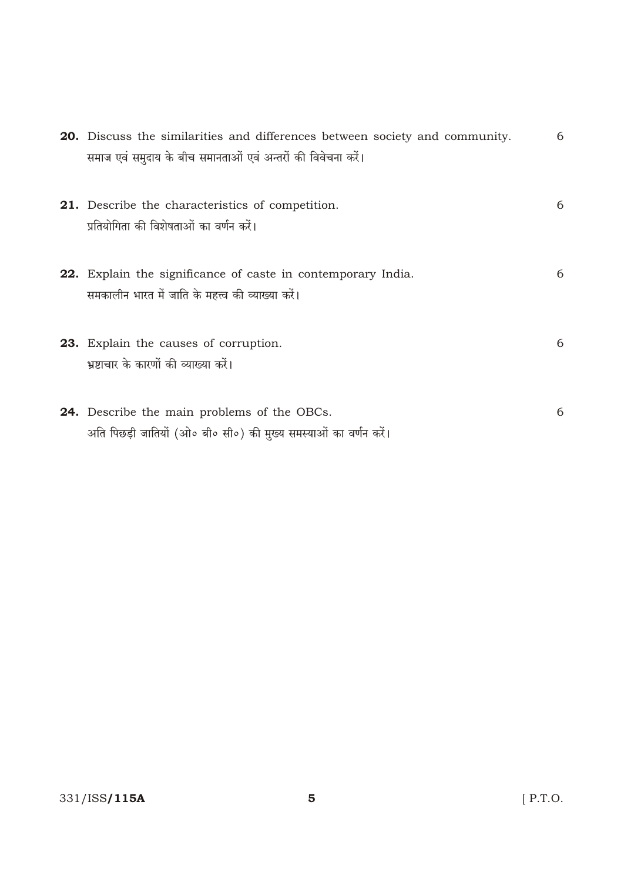| <b>20.</b> Discuss the similarities and differences between society and community.<br>समाज एवं समुदाय के बीच समानताओं एवं अन्तरों की विवेचना करें। | 6 |
|----------------------------------------------------------------------------------------------------------------------------------------------------|---|
| <b>21.</b> Describe the characteristics of competition.<br>प्रतियोगिता की विशेषताओं का वर्णन करें।                                                 | 6 |
| <b>22.</b> Explain the significance of caste in contemporary India.<br>समकालीन भारत में जाति के महत्त्व की व्याख्या करें।                          | 6 |
| 23. Explain the causes of corruption.<br>भ्रष्टाचार के कारणों की व्याख्या करें।                                                                    | 6 |
| <b>24.</b> Describe the main problems of the OBCs.<br>अति पिछड़ी जातियों (ओ० बी० सी०) की मुख्य समस्याओं का वर्णन करें।                             | 6 |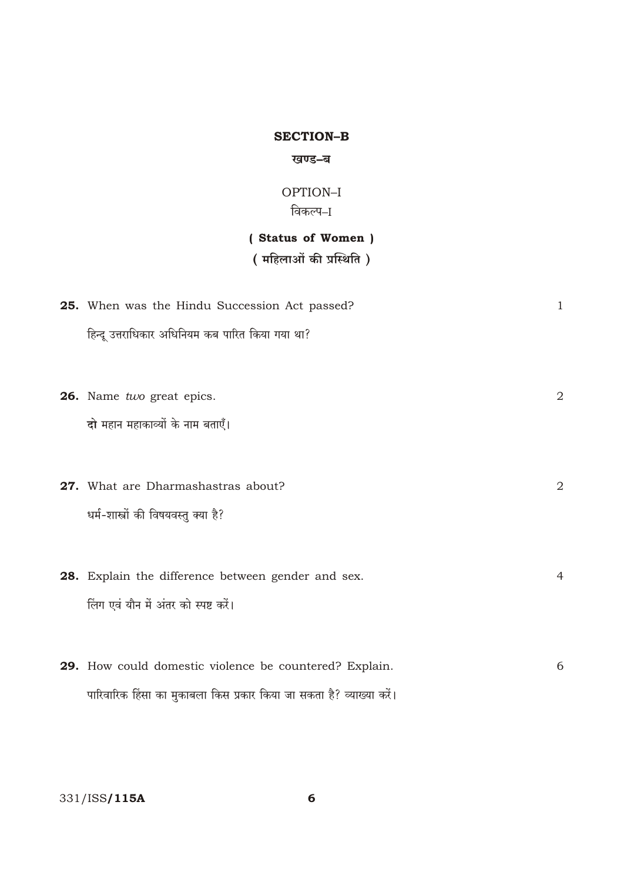### **SECTION-B**

#### खण्ड–ब

### OPTION-I विकल्प–I

# (Status of Women)

# ( महिलाओं की प्रस्थिति)

| <b>25.</b> When was the Hindu Succession Act passed?                  | $\mathbf{1}$ |
|-----------------------------------------------------------------------|--------------|
| हिन्दू उत्तराधिकार अधिनियम कब पारित किया गया था?                      |              |
|                                                                       |              |
| 26. Name two great epics.                                             | 2            |
| दो महान महाकाव्यों के नाम बताएँ।                                      |              |
|                                                                       |              |
| 27. What are Dharmashastras about?                                    | 2            |
| धर्म-शास्त्रों की विषयवस्तु क्या है?                                  |              |
|                                                                       |              |
| 28. Explain the difference between gender and sex.                    | 4            |
| लिंग एवं यौन में अंतर को स्पष्ट करें।                                 |              |
|                                                                       |              |
| 29. How could domestic violence be countered? Explain.                | 6            |
| पारिवारिक हिंसा का मुकाबला किस प्रकार किया जा सकता है? व्याख्या करें। |              |